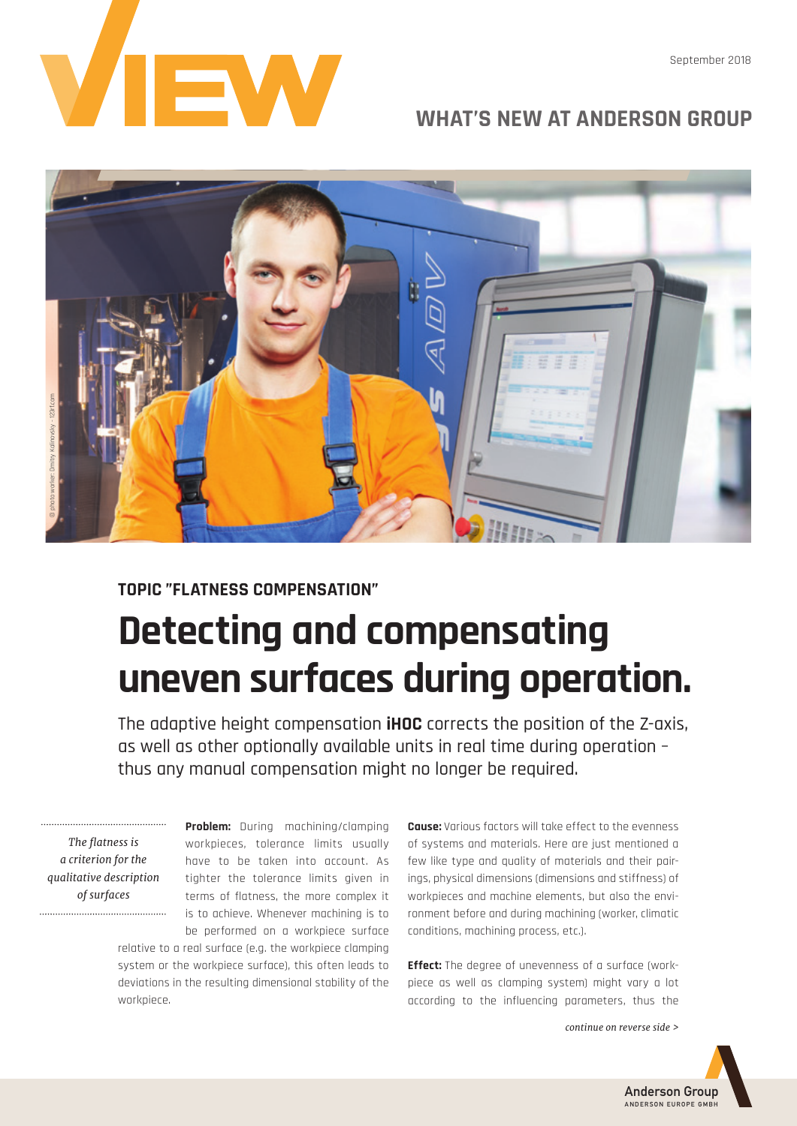

## **WHAT'S NEW AT ANDERSON GROUP**

September 2018



## **TOPIC "FLATNESS COMPENSATION" Detecting and compensating uneven surfaces during operation.**

The adaptive height compensation **iHOC** corrects the position of the Z-axis, as well as other optionally available units in real time during operation – thus any manual compensation might no longer be required.

*The flatness is a criterion for the qualitative description of surfaces*

**Problem:** During machining/clamping workpieces, tolerance limits usually have to be taken into account. As tighter the tolerance limits given in terms of flatness, the more complex it is to achieve. Whenever machining is to be performed on a workpiece surface

relative to a real surface (e.g. the workpiece clamping system or the workpiece surface), this often leads to deviations in the resulting dimensional stability of the workpiece.

**Cause:** Various factors will take effect to the evenness of systems and materials. Here are just mentioned a few like type and quality of materials and their pairings, physical dimensions (dimensions and stiffness) of workpieces and machine elements, but also the environment before and during machining (worker, climatic conditions, machining process, etc.).

**Effect:** The degree of unevenness of a surface (workpiece as well as clamping system) might vary a lot according to the influencing parameters, thus the

*continue on reverse side >*



Anderson Group